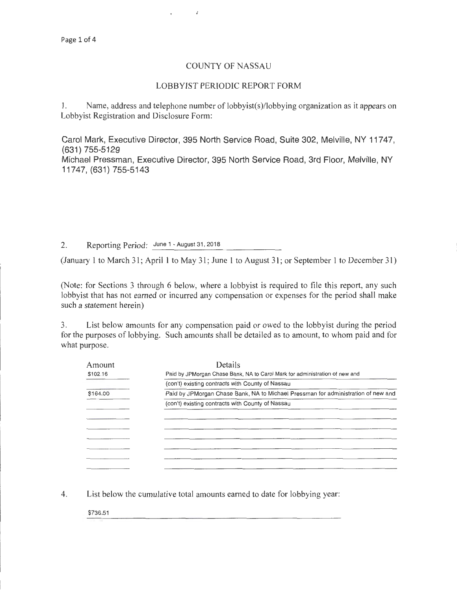## COUNTY OF NASSAU

 $\vec{r}$ 

## LOBBYIST PERIODIC REPORT FORM

l. Name, address and telephone number of lobbyist(s)/lobbying organization as it appears on Lobbyist Registration and Disclosure Form:

Carol Mark, Executive Director, 395 North Service Road, Suite 302, Melville, NY 11747, (631) 755-5129 Michael Pressman, Executive Director, 395 North Service Road, 3rd Floor, Melville, NY

11747, (631) 755-5143

2. Reporting Period: June 1 - August 31, 2018

(January 1 to March 31; April 1 to May 31; June 1 to August 31; or September 1 to December 31)

(Note: for Sections 3 through 6 below, where a lobbyist is required to file this report, any such lobbyist that has not earned or incurred any compensation or expenses for the period shall make such a statement herein)

3. List below amounts for any compensation paid or owed to the lobbyist during the period for the purposes of lobbying. Such amounts shall be detailed as to amount, to whom paid and for what purpose.

| Amount   | Details                                                                           |  |  |  |
|----------|-----------------------------------------------------------------------------------|--|--|--|
| \$102.16 | Paid by JPMorgan Chase Bank, NA to Carol Mark for administration of new and       |  |  |  |
|          | (con't) existing contracts with County of Nassau                                  |  |  |  |
| \$164.00 | Paid by JPMorgan Chase Bank, NA to Michael Pressman for administration of new and |  |  |  |
|          | (con't) existing contracts with County of Nassau                                  |  |  |  |
|          |                                                                                   |  |  |  |
|          |                                                                                   |  |  |  |
|          |                                                                                   |  |  |  |
|          |                                                                                   |  |  |  |
|          |                                                                                   |  |  |  |
|          |                                                                                   |  |  |  |
|          |                                                                                   |  |  |  |

4. List below the cumulative total amounts earned to date for lobbying year:

\$736.51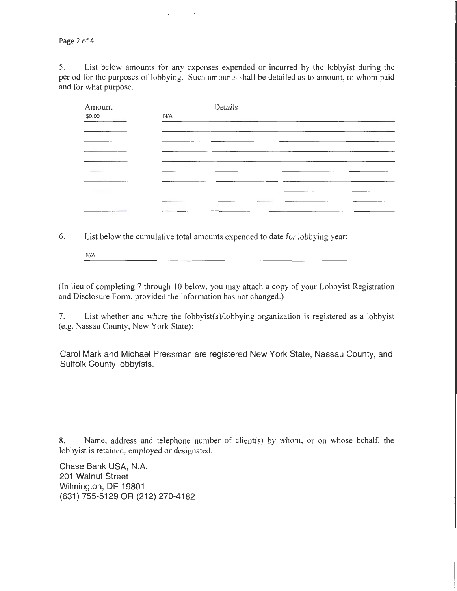Page 2 of 4

5. List below amounts for any expenses expended or incurred by the lobbyist during the period for the purposes of lobbying. Such amounts shall be detailed as to amount, to whom paid and for what purpose.

 $\rightarrow$ 

 $\ddot{\phantom{0}}$ 

| Amount |     | Details |                                     |  |  |
|--------|-----|---------|-------------------------------------|--|--|
| \$0.00 | N/A |         |                                     |  |  |
|        |     |         |                                     |  |  |
|        |     |         |                                     |  |  |
|        |     |         |                                     |  |  |
|        |     |         |                                     |  |  |
|        |     |         |                                     |  |  |
|        |     |         |                                     |  |  |
|        |     |         |                                     |  |  |
|        |     |         |                                     |  |  |
|        |     |         | _____                               |  |  |
|        |     |         | the company's company's programs to |  |  |

6. List below the cumulative total amounts expended to date for lobbying year:

N/A

(In lieu of completing 7 through 10 below, you may attach a copy of your Lobbyist Registration and Disclosure Form, provided the information has not changed.)

7. List whether and where the lobbyist(s)/lobbying organization is registered as a lobbyist (e.g. Nassau County, New York State):

Carol Mark and Michael Pressman are registered New York State, Nassau County, and Suffolk County lobbyists.

8. Name, address and telephone number of client(s) by whom, or on whose behalf, the lobbyist is retained, employed or designated.

Chase Bank USA, N.A. 201 Walnut Street Wilmington, DE 19801 (631) 755-5129 OR (212) 270-4182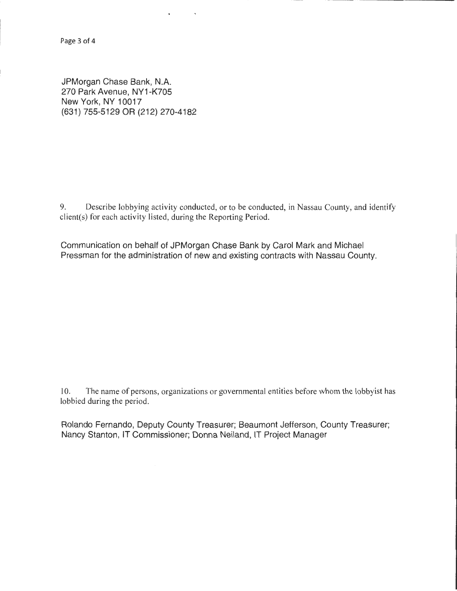JPMorgan Chase Bank, N.A. 270 Park Avenue, NY1-K705 New York, NY 10017 (631) 755-5129 OR (212) 270-4182

9. Describe lobbying activity conducted, or to be conducted, in Nassau County, and identify client(s) for each activity listed, during the Reporting Period.

Communication on behalf of JPMorgan Chase Bank by Carol Mark and Michael Pressman for the administration of new and existing contracts with Nassau County.

 $\tilde{\phantom{a}}$ 

I 0. The name of persons, organizations or governmental entities before whom the lobbyist has lobbied during the period.

Rolando Fernando, Deputy County Treasurer; Beaumont Jefferson, County Treasurer; Nancy Stanton, IT Commissioner; Donna Neiland, IT Project Manager